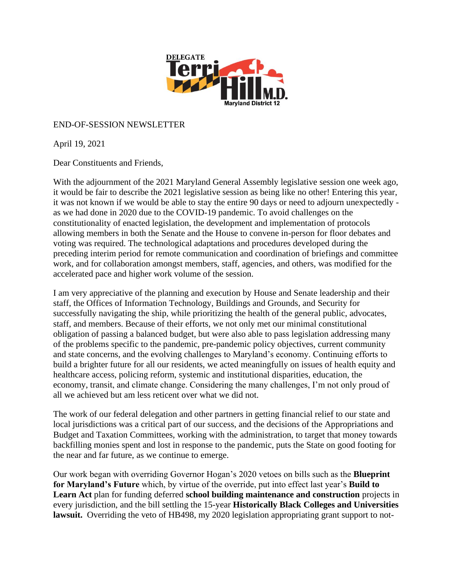

#### END-OF-SESSION NEWSLETTER

April 19, 2021

Dear Constituents and Friends,

With the adjournment of the 2021 Maryland General Assembly legislative session one week ago, it would be fair to describe the 2021 legislative session as being like no other! Entering this year, it was not known if we would be able to stay the entire 90 days or need to adjourn unexpectedly as we had done in 2020 due to the COVID-19 pandemic. To avoid challenges on the constitutionality of enacted legislation, the development and implementation of protocols allowing members in both the Senate and the House to convene in-person for floor debates and voting was required. The technological adaptations and procedures developed during the preceding interim period for remote communication and coordination of briefings and committee work, and for collaboration amongst members, staff, agencies, and others, was modified for the accelerated pace and higher work volume of the session.

I am very appreciative of the planning and execution by House and Senate leadership and their staff, the Offices of Information Technology, Buildings and Grounds, and Security for successfully navigating the ship, while prioritizing the health of the general public, advocates, staff, and members. Because of their efforts, we not only met our minimal constitutional obligation of passing a balanced budget, but were also able to pass legislation addressing many of the problems specific to the pandemic, pre-pandemic policy objectives, current community and state concerns, and the evolving challenges to Maryland's economy. Continuing efforts to build a brighter future for all our residents, we acted meaningfully on issues of health equity and healthcare access, policing reform, systemic and institutional disparities, education, the economy, transit, and climate change. Considering the many challenges, I'm not only proud of all we achieved but am less reticent over what we did not.

The work of our federal delegation and other partners in getting financial relief to our state and local jurisdictions was a critical part of our success, and the decisions of the Appropriations and Budget and Taxation Committees, working with the administration, to target that money towards backfilling monies spent and lost in response to the pandemic, puts the State on good footing for the near and far future, as we continue to emerge.

Our work began with overriding Governor Hogan's 2020 vetoes on bills such as the **Blueprint for Maryland's Future** which, by virtue of the override, put into effect last year's **Build to Learn Act** plan for funding deferred **school building maintenance and construction** projects in every jurisdiction, and the bill settling the 15-year **Historically Black Colleges and Universities lawsuit.** Overriding the veto of HB498, my 2020 legislation appropriating grant support to not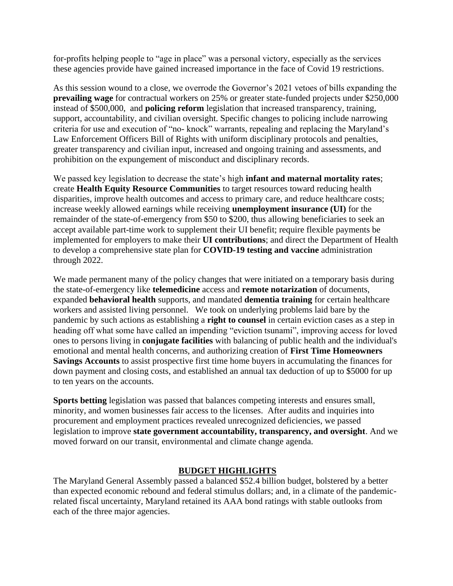for-profits helping people to "age in place" was a personal victory, especially as the services these agencies provide have gained increased importance in the face of Covid 19 restrictions.

As this session wound to a close, we overrode the Governor's 2021 vetoes of bills expanding the **prevailing wage** for contractual workers on 25% or greater state-funded projects under \$250,000 instead of \$500,000, and **policing reform** legislation that increased transparency, training, support, accountability, and civilian oversight. Specific changes to policing include narrowing criteria for use and execution of "no- knock" warrants, repealing and replacing the Maryland's Law Enforcement Officers Bill of Rights with uniform disciplinary protocols and penalties, greater transparency and civilian input, increased and ongoing training and assessments, and prohibition on the expungement of misconduct and disciplinary records.

We passed key legislation to decrease the state's high **infant and maternal mortality rates**; create **Health Equity Resource Communities** to target resources toward reducing health disparities, improve health outcomes and access to primary care, and reduce healthcare costs; increase weekly allowed earnings while receiving **unemployment insurance (UI)** for the remainder of the state-of-emergency from \$50 to \$200, thus allowing beneficiaries to seek an accept available part-time work to supplement their UI benefit; require flexible payments be implemented for employers to make their **UI contributions**; and direct the Department of Health to develop a comprehensive state plan for **COVID-19 testing and vaccine** administration through 2022.

We made permanent many of the policy changes that were initiated on a temporary basis during the state-of-emergency like **telemedicine** access and **remote notarization** of documents, expanded **behavioral health** supports, and mandated **dementia training** for certain healthcare workers and assisted living personnel. We took on underlying problems laid bare by the pandemic by such actions as establishing a **right to counsel** in certain eviction cases as a step in heading off what some have called an impending "eviction tsunami", improving access for loved ones to persons living in **conjugate facilities** with balancing of public health and the individual's emotional and mental health concerns, and authorizing creation of **First Time Homeowners Savings Accounts** to assist prospective first time home buyers in accumulating the finances for down payment and closing costs, and established an annual tax deduction of up to \$5000 for up to ten years on the accounts.

**Sports betting** legislation was passed that balances competing interests and ensures small, minority, and women businesses fair access to the licenses. After audits and inquiries into procurement and employment practices revealed unrecognized deficiencies, we passed legislation to improve **state government accountability, transparency, and oversight**. And we moved forward on our transit, environmental and climate change agenda.

#### **BUDGET HIGHLIGHTS**

The Maryland General Assembly passed a balanced \$52.4 billion budget, bolstered by a better than expected economic rebound and federal stimulus dollars; and, in a climate of the pandemicrelated fiscal uncertainty, Maryland retained its AAA bond ratings with stable outlooks from each of the three major agencies.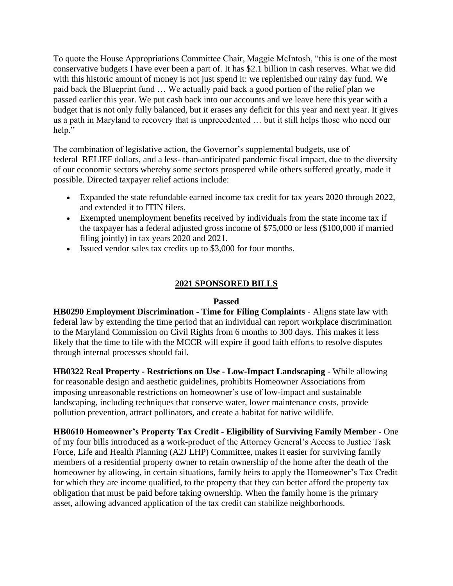To quote the House Appropriations Committee Chair, Maggie McIntosh, "this is one of the most conservative budgets I have ever been a part of. It has \$2.1 billion in cash reserves. What we did with this historic amount of money is not just spend it: we replenished our rainy day fund. We paid back the Blueprint fund … We actually paid back a good portion of the relief plan we passed earlier this year. We put cash back into our accounts and we leave here this year with a budget that is not only fully balanced, but it erases any deficit for this year and next year. It gives us a path in Maryland to recovery that is unprecedented … but it still helps those who need our help."

The combination of legislative action, the Governor's supplemental budgets, use of federal RELIEF dollars, and a less- than-anticipated pandemic fiscal impact, due to the diversity of our economic sectors whereby some sectors prospered while others suffered greatly, made it possible. Directed taxpayer relief actions include:

- Expanded the state refundable earned income tax credit for tax years 2020 through 2022, and extended it to ITIN filers.
- Exempted unemployment benefits received by individuals from the state income tax if the taxpayer has a federal adjusted gross income of \$75,000 or less (\$100,000 if married filing jointly) in tax years 2020 and 2021.
- Issued vendor sales tax credits up to \$3,000 for four months.

## **2021 SPONSORED BILLS**

#### **Passed**

**HB0290 Employment Discrimination - Time for Filing Complaints** - Aligns state law with federal law by extending the time period that an individual can report workplace discrimination to the Maryland Commission on Civil Rights from 6 months to 300 days. This makes it less likely that the time to file with the MCCR will expire if good faith efforts to resolve disputes through internal processes should fail.

**HB0322 Real Property - Restrictions on Use - Low-Impact Landscaping** - While allowing for reasonable design and aesthetic guidelines, prohibits Homeowner Associations from imposing unreasonable restrictions on homeowner's use of low-impact and sustainable landscaping, including techniques that conserve water, lower maintenance costs, provide pollution prevention, attract pollinators, and create a habitat for native wildlife.

**HB0610 Homeowner's Property Tax Credit - Eligibility of Surviving Family Member** - One of my four bills introduced as a work-product of the Attorney General's Access to Justice Task Force, Life and Health Planning (A2J LHP) Committee, makes it easier for surviving family members of a residential property owner to retain ownership of the home after the death of the homeowner by allowing, in certain situations, family heirs to apply the Homeowner's Tax Credit for which they are income qualified, to the property that they can better afford the property tax obligation that must be paid before taking ownership. When the family home is the primary asset, allowing advanced application of the tax credit can stabilize neighborhoods.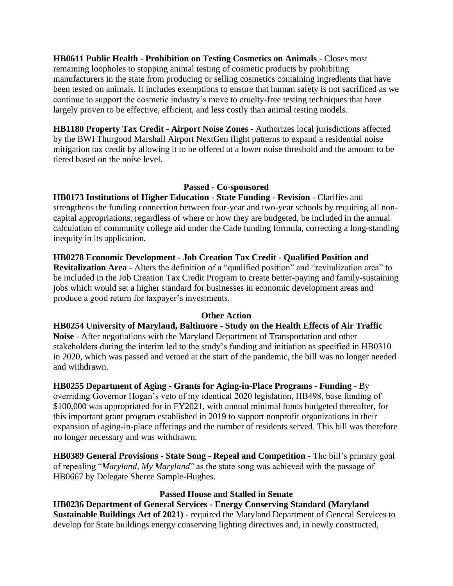**HB0611 Public Health - Prohibition on Testing Cosmetics on Animals** - Closes most remaining loopholes to stopping animal testing of cosmetic products by prohibiting manufacturers in the state from producing or selling cosmetics containing ingredients that have been tested on animals. It includes exemptions to ensure that human safety is not sacrificed as we continue to support the cosmetic industry's move to cruelty-free testing techniques that have largely proven to be effective, efficient, and less costly than animal testing models.

**HB1180 Property Tax Credit - Airport Noise Zones** - Authorizes local jurisdictions affected by the BWI Thurgood Marshall Airport NextGen flight patterns to expand a residential noise mitigation tax credit by allowing it to be offered at a lower noise threshold and the amount to be tiered based on the noise level.

#### **Passed - Co-sponsored**

**HB0173 Institutions of Higher Education - State Funding - Revision** - Clarifies and strengthens the funding connection between four-year and two-year schools by requiring all noncapital appropriations, regardless of where or how they are budgeted, be included in the annual calculation of community college aid under the Cade funding formula, correcting a long-standing inequity in its application.

**HB0278 Economic Development - Job Creation Tax Credit - Qualified Position and Revitalization Area** - Alters the definition of a "qualified position" and "revitalization area" to be included in the Job Creation Tax Credit Program to create better-paying and family-sustaining jobs which would set a higher standard for businesses in economic development areas and produce a good return for taxpayer's investments.

## **Other Action**

**HB0254 University of Maryland, Baltimore - Study on the Health Effects of Air Traffic Noise** - After negotiations with the Maryland Department of Transportation and other stakeholders during the interim led to the study's funding and initiation as specified in HB0310 in 2020, which was passed and vetoed at the start of the pandemic, the bill was no longer needed and withdrawn.

**HB0255 Department of Aging - Grants for Aging-in-Place Programs - Funding** - By overriding Governor Hogan's veto of my identical 2020 legislation, HB498, base funding of \$100,000 was appropriated for in FY2021, with annual minimal funds budgeted thereafter, for this important grant program established in 2019 to support nonprofit organizations in their expansion of aging-in-place offerings and the number of residents served. This bill was therefore no longer necessary and was withdrawn.

**HB0389 General Provisions - State Song - Repeal and Competition** - The bill's primary goal of repealing "*Maryland, My Maryland*" as the state song was achieved with the passage of HB0667 by Delegate Sheree Sample-Hughes.

## **Passed House and Stalled in Senate**

**HB0236 Department of General Services - Energy Conserving Standard (Maryland Sustainable Buildings Act of 2021)** - required the Maryland Department of General Services to develop for State buildings energy conserving lighting directives and, in newly constructed,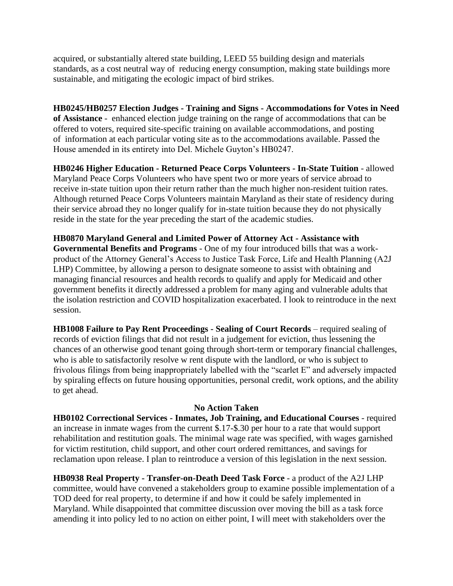acquired, or substantially altered state building, LEED 55 building design and materials standards, as a cost neutral way of reducing energy consumption, making state buildings more sustainable, and mitigating the ecologic impact of bird strikes.

**HB0245/HB0257 Election Judges - Training and Signs - Accommodations for Votes in Need of Assistance** - enhanced election judge training on the range of accommodations that can be offered to voters, required site-specific training on available accommodations, and posting of information at each particular voting site as to the accommodations available. Passed the House amended in its entirety into Del. Michele Guyton's HB0247.

**HB0246 Higher Education - Returned Peace Corps Volunteers - In-State Tuition** - allowed Maryland Peace Corps Volunteers who have spent two or more years of service abroad to receive in-state tuition upon their return rather than the much higher non-resident tuition rates. Although returned Peace Corps Volunteers maintain Maryland as their state of residency during their service abroad they no longer qualify for in-state tuition because they do not physically reside in the state for the year preceding the start of the academic studies.

**HB0870 Maryland General and Limited Power of Attorney Act - Assistance with Governmental Benefits and Programs** - One of my four introduced bills that was a workproduct of the Attorney General's Access to Justice Task Force, Life and Health Planning (A2J LHP) Committee, by allowing a person to designate someone to assist with obtaining and managing financial resources and health records to qualify and apply for Medicaid and other government benefits it directly addressed a problem for many aging and vulnerable adults that the isolation restriction and COVID hospitalization exacerbated. I look to reintroduce in the next session.

**HB1008 Failure to Pay Rent Proceedings - Sealing of Court Records** – required sealing of records of eviction filings that did not result in a judgement for eviction, thus lessening the chances of an otherwise good tenant going through short-term or temporary financial challenges, who is able to satisfactorily resolve w rent dispute with the landlord, or who is subject to frivolous filings from being inappropriately labelled with the "scarlet E" and adversely impacted by spiraling effects on future housing opportunities, personal credit, work options, and the ability to get ahead.

#### **No Action Taken**

**HB0102 Correctional Services - Inmates, Job Training, and Educational Courses** - required an increase in inmate wages from the current \$.17-\$.30 per hour to a rate that would support rehabilitation and restitution goals. The minimal wage rate was specified, with wages garnished for victim restitution, child support, and other court ordered remittances, and savings for reclamation upon release. I plan to reintroduce a version of this legislation in the next session.

**HB0938 Real Property - Transfer-on-Death Deed Task Force** - a product of the A2J LHP committee, would have convened a stakeholders group to examine possible implementation of a TOD deed for real property, to determine if and how it could be safely implemented in Maryland. While disappointed that committee discussion over moving the bill as a task force amending it into policy led to no action on either point, I will meet with stakeholders over the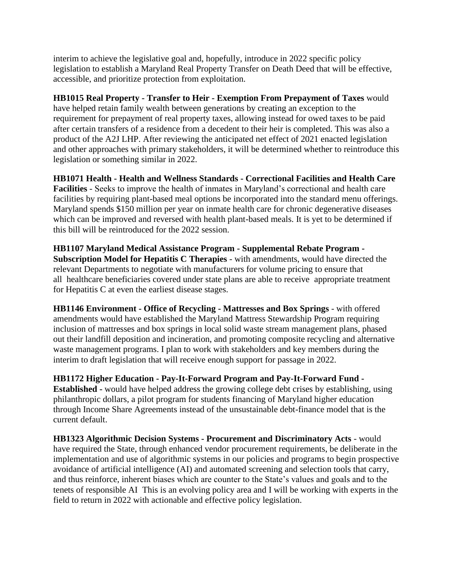interim to achieve the legislative goal and, hopefully, introduce in 2022 specific policy legislation to establish a Maryland Real Property Transfer on Death Deed that will be effective, accessible, and prioritize protection from exploitation.

**HB1015 Real Property - Transfer to Heir - Exemption From Prepayment of Taxes** would have helped retain family wealth between generations by creating an exception to the requirement for prepayment of real property taxes, allowing instead for owed taxes to be paid after certain transfers of a residence from a decedent to their heir is completed. This was also a product of the A2J LHP. After reviewing the anticipated net effect of 2021 enacted legislation and other approaches with primary stakeholders, it will be determined whether to reintroduce this legislation or something similar in 2022.

**HB1071 Health - Health and Wellness Standards - Correctional Facilities and Health Care Facilities** - Seeks to improve the health of inmates in Maryland's correctional and health care facilities by requiring plant-based meal options be incorporated into the standard menu offerings. Maryland spends \$150 million per year on inmate health care for chronic degenerative diseases which can be improved and reversed with health plant-based meals. It is yet to be determined if this bill will be reintroduced for the 2022 session.

**HB1107 Maryland Medical Assistance Program - Supplemental Rebate Program - Subscription Model for Hepatitis C Therapies** - with amendments, would have directed the relevant Departments to negotiate with manufacturers for volume pricing to ensure that all healthcare beneficiaries covered under state plans are able to receive appropriate treatment for Hepatitis C at even the earliest disease stages.

**HB1146 Environment - Office of Recycling - Mattresses and Box Springs** - with offered amendments would have established the Maryland Mattress Stewardship Program requiring inclusion of mattresses and box springs in local solid waste stream management plans, phased out their landfill deposition and incineration, and promoting composite recycling and alternative waste management programs. I plan to work with stakeholders and key members during the interim to draft legislation that will receive enough support for passage in 2022.

**HB1172 Higher Education - Pay-It-Forward Program and Pay-It-Forward Fund - Established -** would have helped address the growing college debt crises by establishing, using philanthropic dollars, a pilot program for students financing of Maryland higher education through Income Share Agreements instead of the unsustainable debt-finance model that is the current default.

**HB1323 Algorithmic Decision Systems - Procurement and Discriminatory Acts** - would have required the State, through enhanced vendor procurement requirements, be deliberate in the implementation and use of algorithmic systems in our policies and programs to begin prospective avoidance of artificial intelligence (AI) and automated screening and selection tools that carry, and thus reinforce, inherent biases which are counter to the State's values and goals and to the tenets of responsible AI This is an evolving policy area and I will be working with experts in the field to return in 2022 with actionable and effective policy legislation.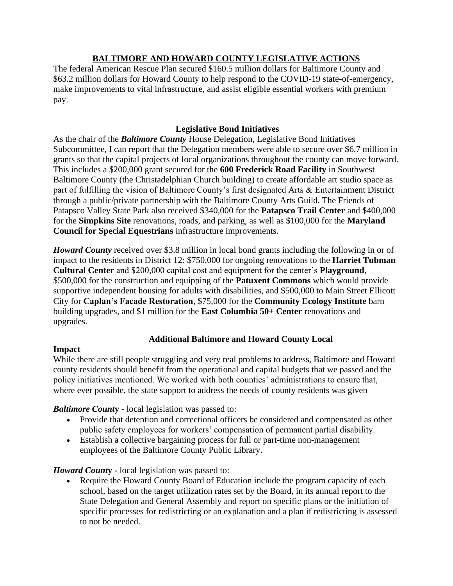# **BALTIMORE AND HOWARD COUNTY LEGISLATIVE ACTIONS**

The federal American Rescue Plan secured \$160.5 million dollars for Baltimore County and \$63.2 million dollars for Howard County to help respond to the COVID-19 state-of-emergency, make improvements to vital infrastructure, and assist eligible essential workers with premium pay.

## **Legislative Bond Initiatives**

As the chair of the *Baltimore County* House Delegation, Legislative Bond Initiatives Subcommittee, I can report that the Delegation members were able to secure over \$6.7 million in grants so that the capital projects of local organizations throughout the county can move forward. This includes a \$200,000 grant secured for the **600 Frederick Road Facility** in Southwest Baltimore County (the Christadelphian Church building) to create affordable art studio space as part of fulfilling the vision of Baltimore County's first designated Arts & Entertainment District through a public/private partnership with the Baltimore County Arts Guild. The Friends of Patapsco Valley State Park also received \$340,000 for the **Patapsco Trail Center** and \$400,000 for the **Simpkins Site** renovations, roads, and parking, as well as \$100,000 for the **Maryland Council for Special Equestrians** infrastructure improvements.

*Howard County* received over \$3.8 million in local bond grants including the following in or of impact to the residents in District 12: \$750,000 for ongoing renovations to the **Harriet Tubman Cultural Center** and \$200,000 capital cost and equipment for the center's **Playground**, \$500,000 for the construction and equipping of the **Patuxent Commons** which would provide supportive independent housing for adults with disabilities, and \$500,000 to Main Street Ellicott City for **Caplan's Facade Restoration**, \$75,000 for the **Community Ecology Institute** barn building upgrades, and \$1 million for the **East Columbia 50+ Center** renovations and upgrades.

# **Additional Baltimore and Howard County Local**

## **Impact**

While there are still people struggling and very real problems to address, Baltimore and Howard county residents should benefit from the operational and capital budgets that we passed and the policy initiatives mentioned. We worked with both counties' administrations to ensure that, where ever possible, the state support to address the needs of county residents was given

*Baltimore Count***y -** local legislation was passed to:

- Provide that detention and correctional officers be considered and compensated as other public safety employees for workers' compensation of permanent partial disability.
- Establish a collective bargaining process for full or part-time non-management employees of the Baltimore County Public Library.

# *Howard Count***y -** local legislation was passed to:

• Require the Howard County Board of Education include the program capacity of each school, based on the target utilization rates set by the Board, in its annual report to the State Delegation and General Assembly and report on specific plans or the initiation of specific processes for redistricting or an explanation and a plan if redistricting is assessed to not be needed.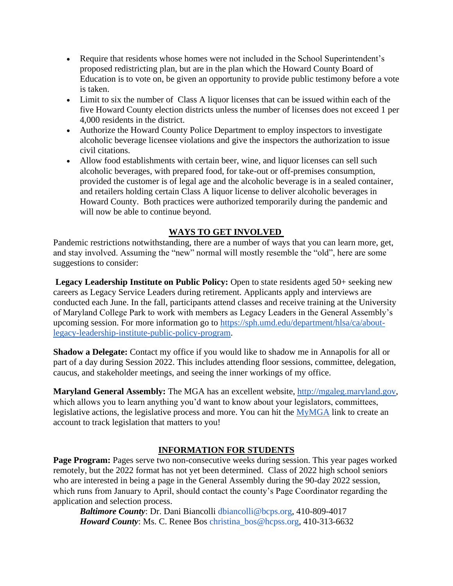- Require that residents whose homes were not included in the School Superintendent's proposed redistricting plan, but are in the plan which the Howard County Board of Education is to vote on, be given an opportunity to provide public testimony before a vote is taken.
- Limit to six the number of Class A liquor licenses that can be issued within each of the five Howard County election districts unless the number of licenses does not exceed 1 per 4,000 residents in the district.
- Authorize the Howard County Police Department to employ inspectors to investigate alcoholic beverage licensee violations and give the inspectors the authorization to issue civil citations.
- Allow food establishments with certain beer, wine, and liquor licenses can sell such alcoholic beverages, with prepared food, for take-out or off-premises consumption, provided the customer is of legal age and the alcoholic beverage is in a sealed container, and retailers holding certain Class A liquor license to deliver alcoholic beverages in Howard County. Both practices were authorized temporarily during the pandemic and will now be able to continue beyond.

## **WAYS TO GET INVOLVED**

Pandemic restrictions notwithstanding, there are a number of ways that you can learn more, get, and stay involved. Assuming the "new" normal will mostly resemble the "old", here are some suggestions to consider:

**Legacy Leadership Institute on Public Policy:** Open to state residents aged 50+ seeking new careers as Legacy Service Leaders during retirement. Applicants apply and interviews are conducted each June. In the fall, participants attend classes and receive training at the University of Maryland College Park to work with members as Legacy Leaders in the General Assembly's upcoming session. For more information go to [https://sph.umd.edu/department/hlsa/ca/about](https://sph.umd.edu/department/hlsa/ca/about-legacy-leadership-institute-public-policy-program)[legacy-leadership-institute-public-policy-program.](https://sph.umd.edu/department/hlsa/ca/about-legacy-leadership-institute-public-policy-program)

**Shadow a Delegate:** Contact my office if you would like to shadow me in Annapolis for all or part of a day during Session 2022. This includes attending floor sessions, committee, delegation, caucus, and stakeholder meetings, and seeing the inner workings of my office.

**Maryland General Assembly:** The MGA has an excellent website, [http://mgaleg.maryland.gov,](http://mgaleg.maryland.gov/) which allows you to learn anything you'd want to know about your legislators, committees, legislative actions, the legislative process and more. You can hit the [MyMGA](https://mgaleg.maryland.gov/mgawebsite/MyMGATracking/ManageLists) link to create an account to track legislation that matters to you!

## **INFORMATION FOR STUDENTS**

**Page Program:** Pages serve two non-consecutive weeks during session. This year pages worked remotely, but the 2022 format has not yet been determined. Class of 2022 high school seniors who are interested in being a page in the General Assembly during the 90-day 2022 session, which runs from January to April, should contact the county's Page Coordinator regarding the application and selection process.

 *Baltimore County*: Dr. Dani Biancolli dbiancolli@bcps.org, 410-809-4017 *Howard County*: Ms. C. Renee Bos christina bos@hcpss.org, 410-313-6632